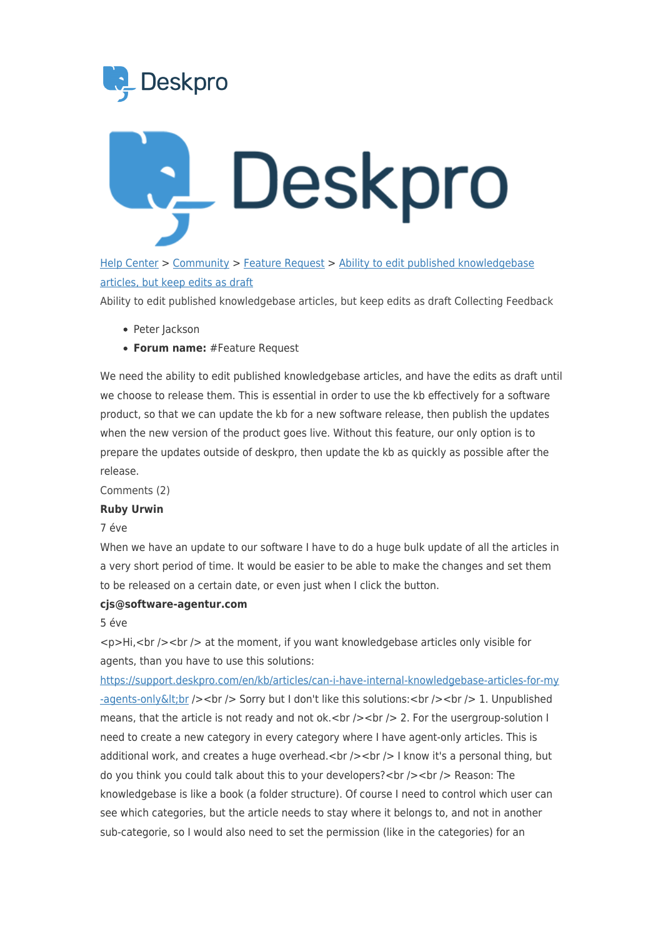



[Help Center](https://support.deskpro.com/hu) > [Community](https://support.deskpro.com/hu/community) > [Feature Request](https://support.deskpro.com/hu/community/browse/type-2/view-list/viewmode-compact) > [Ability to edit published knowledgebase](https://support.deskpro.com/hu/community/view/ability-to-edit-published-knowledgebase-articles-but-keep-edits-as-draft) [articles, but keep edits as draft](https://support.deskpro.com/hu/community/view/ability-to-edit-published-knowledgebase-articles-but-keep-edits-as-draft)

Ability to edit published knowledgebase articles, but keep edits as draft Collecting Feedback

- Peter Jackson
- **Forum name:** #Feature Request

We need the ability to edit published knowledgebase articles, and have the edits as draft until we choose to release them. This is essential in order to use the kb effectively for a software product, so that we can update the kb for a new software release, then publish the updates when the new version of the product goes live. Without this feature, our only option is to prepare the updates outside of deskpro, then update the kb as quickly as possible after the release.

Comments (2)

## **Ruby Urwin**

7 éve

When we have an update to our software I have to do a huge bulk update of all the articles in a very short period of time. It would be easier to be able to make the changes and set them to be released on a certain date, or even just when I click the button.

## **cjs@software-agentur.com**

5 éve

 $\langle$  <br />>>>>> at the moment, if you want knowledgebase articles only visible for agents, than you have to use this solutions:

[https://support.deskpro.com/en/kb/articles/can-i-have-internal-knowledgebase-articles-for-my](https://support.deskpro.com/en/kb/articles/can-i-have-internal-knowledgebase-articles-for-my-agents-only<br) -agents-only & It; br /> < br /> Sorry but I don't like this solutions: < br /> /> < br />1. Unpublished means, that the article is not ready and not ok.  $\langle \cdot \rangle$  />  $\langle \cdot \rangle$  /> 2. For the usergroup-solution I need to create a new category in every category where I have agent-only articles. This is additional work, and creates a huge overhead.<br />> $\epsilon$  />  $\epsilon$  /> I know it's a personal thing, but do you think you could talk about this to your developers?<br />> />> <br />Reason: The knowledgebase is like a book (a folder structure). Of course I need to control which user can see which categories, but the article needs to stay where it belongs to, and not in another sub-categorie, so I would also need to set the permission (like in the categories) for an